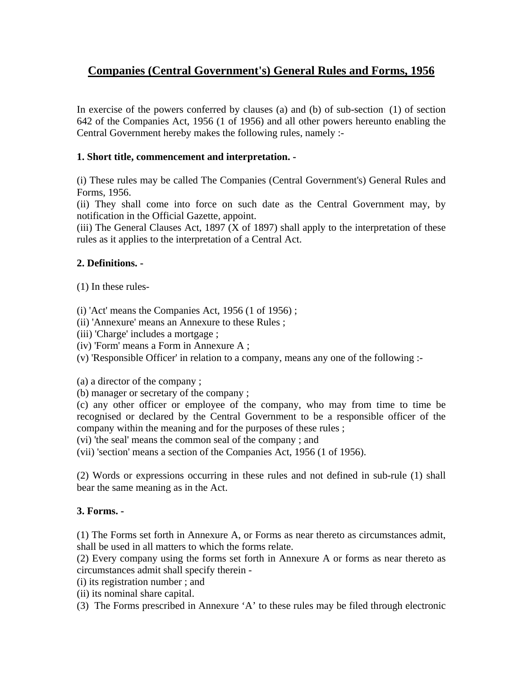# **Companies (Central Government's) General Rules and Forms, 1956**

In exercise of the powers conferred by clauses (a) and (b) of sub-section (1) of section 642 of the Companies Act, 1956 (1 of 1956) and all other powers hereunto enabling the Central Government hereby makes the following rules, namely :-

# **1. Short title, commencement and interpretation. -**

(i) These rules may be called The Companies (Central Government's) General Rules and Forms, 1956.

(ii) They shall come into force on such date as the Central Government may, by notification in the Official Gazette, appoint.

(iii) The General Clauses Act, 1897 (X of 1897) shall apply to the interpretation of these rules as it applies to the interpretation of a Central Act.

# **2. Definitions. -**

(1) In these rules-

 $(i)$  'Act' means the Companies Act, 1956  $(1 \text{ of } 1956)$ ;

- (ii) 'Annexure' means an Annexure to these Rules ;
- (iii) 'Charge' includes a mortgage ;
- (iv) 'Form' means a Form in Annexure A ;
- (v) 'Responsible Officer' in relation to a company, means any one of the following :-

(a) a director of the company ;

(b) manager or secretary of the company ;

(c) any other officer or employee of the company, who may from time to time be recognised or declared by the Central Government to be a responsible officer of the company within the meaning and for the purposes of these rules ;

(vi) 'the seal' means the common seal of the company ; and

(vii) 'section' means a section of the Companies Act, 1956 (1 of 1956).

(2) Words or expressions occurring in these rules and not defined in sub-rule (1) shall bear the same meaning as in the Act.

# **3. Forms. -**

(1) The Forms set forth in Annexure A, or Forms as near thereto as circumstances admit, shall be used in all matters to which the forms relate.

(2) Every company using the forms set forth in Annexure A or forms as near thereto as circumstances admit shall specify therein -

(i) its registration number ; and

- (ii) its nominal share capital.
- (3) The Forms prescribed in Annexure 'A' to these rules may be filed through electronic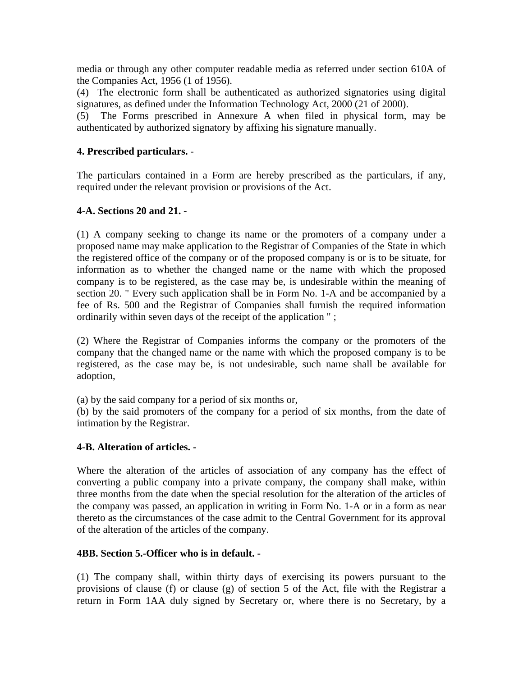media or through any other computer readable media as referred under section 610A of the Companies Act, 1956 (1 of 1956).

(4) The electronic form shall be authenticated as authorized signatories using digital signatures, as defined under the Information Technology Act, 2000 (21 of 2000).

(5) The Forms prescribed in Annexure A when filed in physical form, may be authenticated by authorized signatory by affixing his signature manually.

#### **4. Prescribed particulars.** -

The particulars contained in a Form are hereby prescribed as the particulars, if any, required under the relevant provision or provisions of the Act.

#### **4-A. Sections 20 and 21. -**

(1) A company seeking to change its name or the promoters of a company under a proposed name may make application to the Registrar of Companies of the State in which the registered office of the company or of the proposed company is or is to be situate, for information as to whether the changed name or the name with which the proposed company is to be registered, as the case may be, is undesirable within the meaning of section 20. " Every such application shall be in Form No. 1-A and be accompanied by a fee of Rs. 500 and the Registrar of Companies shall furnish the required information ordinarily within seven days of the receipt of the application " ;

(2) Where the Registrar of Companies informs the company or the promoters of the company that the changed name or the name with which the proposed company is to be registered, as the case may be, is not undesirable, such name shall be available for adoption,

(a) by the said company for a period of six months or,

(b) by the said promoters of the company for a period of six months, from the date of intimation by the Registrar.

#### **4-B. Alteration of articles. -**

Where the alteration of the articles of association of any company has the effect of converting a public company into a private company, the company shall make, within three months from the date when the special resolution for the alteration of the articles of the company was passed, an application in writing in Form No. 1-A or in a form as near thereto as the circumstances of the case admit to the Central Government for its approval of the alteration of the articles of the company.

#### **4BB. Section 5.-Officer who is in default. -**

(1) The company shall, within thirty days of exercising its powers pursuant to the provisions of clause (f) or clause (g) of section 5 of the Act, file with the Registrar a return in Form 1AA duly signed by Secretary or, where there is no Secretary, by a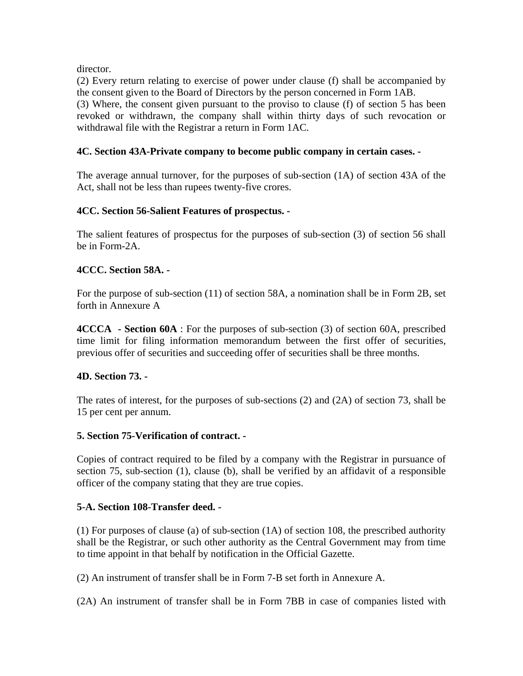director.

(2) Every return relating to exercise of power under clause (f) shall be accompanied by the consent given to the Board of Directors by the person concerned in Form 1AB.

(3) Where, the consent given pursuant to the proviso to clause (f) of section 5 has been revoked or withdrawn, the company shall within thirty days of such revocation or withdrawal file with the Registrar a return in Form 1AC.

# **4C. Section 43A-Private company to become public company in certain cases. -**

The average annual turnover, for the purposes of sub-section (1A) of section 43A of the Act, shall not be less than rupees twenty-five crores.

# **4CC. Section 56-Salient Features of prospectus. -**

The salient features of prospectus for the purposes of sub-section (3) of section 56 shall be in Form-2A.

# **4CCC. Section 58A. -**

For the purpose of sub-section (11) of section 58A, a nomination shall be in Form 2B, set forth in Annexure A

**4CCCA - Section 60A** : For the purposes of sub-section (3) of section 60A, prescribed time limit for filing information memorandum between the first offer of securities, previous offer of securities and succeeding offer of securities shall be three months.

#### **4D. Section 73. -**

The rates of interest, for the purposes of sub-sections (2) and (2A) of section 73, shall be 15 per cent per annum.

#### **5. Section 75-Verification of contract. -**

Copies of contract required to be filed by a company with the Registrar in pursuance of section 75, sub-section (1), clause (b), shall be verified by an affidavit of a responsible officer of the company stating that they are true copies.

#### **5-A. Section 108-Transfer deed. -**

(1) For purposes of clause (a) of sub-section (1A) of section 108, the prescribed authority shall be the Registrar, or such other authority as the Central Government may from time to time appoint in that behalf by notification in the Official Gazette.

(2) An instrument of transfer shall be in Form 7-B set forth in Annexure A.

(2A) An instrument of transfer shall be in Form 7BB in case of companies listed with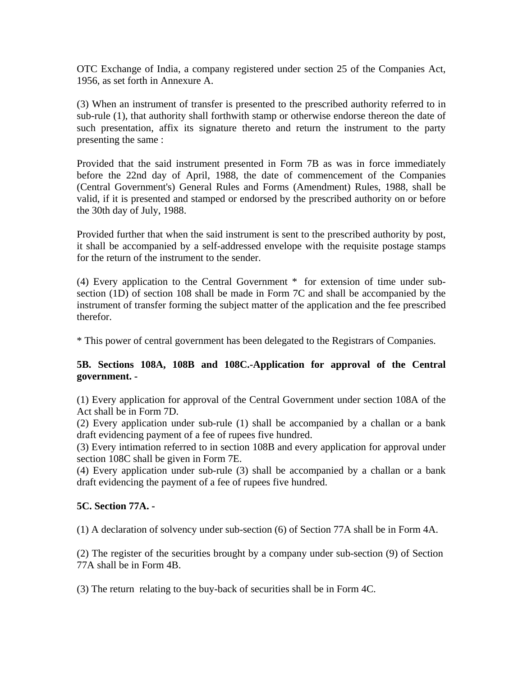OTC Exchange of India, a company registered under section 25 of the Companies Act, 1956, as set forth in Annexure A.

(3) When an instrument of transfer is presented to the prescribed authority referred to in sub-rule (1), that authority shall forthwith stamp or otherwise endorse thereon the date of such presentation, affix its signature thereto and return the instrument to the party presenting the same :

Provided that the said instrument presented in Form 7B as was in force immediately before the 22nd day of April, 1988, the date of commencement of the Companies (Central Government's) General Rules and Forms (Amendment) Rules, 1988, shall be valid, if it is presented and stamped or endorsed by the prescribed authority on or before the 30th day of July, 1988.

Provided further that when the said instrument is sent to the prescribed authority by post, it shall be accompanied by a self-addressed envelope with the requisite postage stamps for the return of the instrument to the sender.

(4) Every application to the Central Government \* for extension of time under subsection (1D) of section 108 shall be made in Form 7C and shall be accompanied by the instrument of transfer forming the subject matter of the application and the fee prescribed therefor.

\* This power of central government has been delegated to the Registrars of Companies.

# **5B. Sections 108A, 108B and 108C.-Application for approval of the Central government. -**

(1) Every application for approval of the Central Government under section 108A of the Act shall be in Form 7D.

(2) Every application under sub-rule (1) shall be accompanied by a challan or a bank draft evidencing payment of a fee of rupees five hundred.

(3) Every intimation referred to in section 108B and every application for approval under section 108C shall be given in Form 7E.

(4) Every application under sub-rule (3) shall be accompanied by a challan or a bank draft evidencing the payment of a fee of rupees five hundred.

#### **5C. Section 77A. -**

(1) A declaration of solvency under sub-section (6) of Section 77A shall be in Form 4A.

(2) The register of the securities brought by a company under sub-section (9) of Section 77A shall be in Form 4B.

(3) The return relating to the buy-back of securities shall be in Form 4C.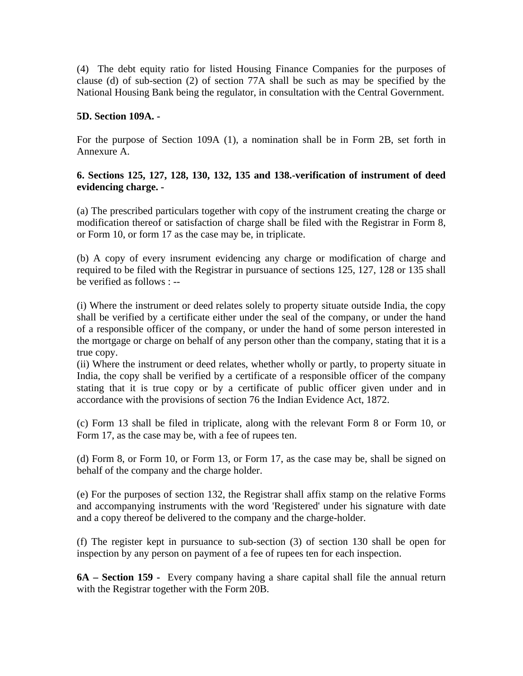(4) The debt equity ratio for listed Housing Finance Companies for the purposes of clause (d) of sub-section (2) of section 77A shall be such as may be specified by the National Housing Bank being the regulator, in consultation with the Central Government.

### **5D. Section 109A. -**

For the purpose of Section 109A (1), a nomination shall be in Form 2B, set forth in Annexure A.

# **6. Sections 125, 127, 128, 130, 132, 135 and 138.-verification of instrument of deed evidencing charge. -**

(a) The prescribed particulars together with copy of the instrument creating the charge or modification thereof or satisfaction of charge shall be filed with the Registrar in Form 8, or Form 10, or form 17 as the case may be, in triplicate.

(b) A copy of every insrument evidencing any charge or modification of charge and required to be filed with the Registrar in pursuance of sections 125, 127, 128 or 135 shall be verified as follows : --

(i) Where the instrument or deed relates solely to property situate outside India, the copy shall be verified by a certificate either under the seal of the company, or under the hand of a responsible officer of the company, or under the hand of some person interested in the mortgage or charge on behalf of any person other than the company, stating that it is a true copy.

(ii) Where the instrument or deed relates, whether wholly or partly, to property situate in India, the copy shall be verified by a certificate of a responsible officer of the company stating that it is true copy or by a certificate of public officer given under and in accordance with the provisions of section 76 the Indian Evidence Act, 1872.

(c) Form 13 shall be filed in triplicate, along with the relevant Form 8 or Form 10, or Form 17, as the case may be, with a fee of rupees ten.

(d) Form 8, or Form 10, or Form 13, or Form 17, as the case may be, shall be signed on behalf of the company and the charge holder.

(e) For the purposes of section 132, the Registrar shall affix stamp on the relative Forms and accompanying instruments with the word 'Registered' under his signature with date and a copy thereof be delivered to the company and the charge-holder.

(f) The register kept in pursuance to sub-section (3) of section 130 shall be open for inspection by any person on payment of a fee of rupees ten for each inspection.

**6A – Section 159 -** Every company having a share capital shall file the annual return with the Registrar together with the Form 20B.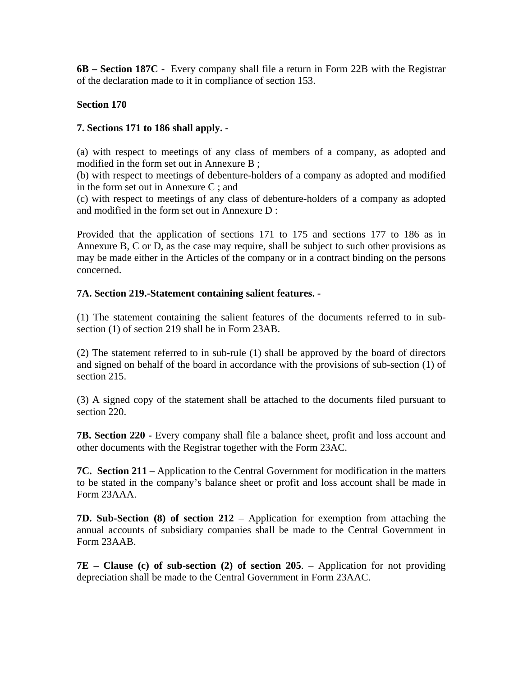**6B – Section 187C -** Every company shall file a return in Form 22B with the Registrar of the declaration made to it in compliance of section 153.

# **Section 170**

### **7. Sections 171 to 186 shall apply. -**

(a) with respect to meetings of any class of members of a company, as adopted and modified in the form set out in Annexure B ;

(b) with respect to meetings of debenture-holders of a company as adopted and modified in the form set out in Annexure C ; and

(c) with respect to meetings of any class of debenture-holders of a company as adopted and modified in the form set out in Annexure D :

Provided that the application of sections 171 to 175 and sections 177 to 186 as in Annexure B, C or D, as the case may require, shall be subject to such other provisions as may be made either in the Articles of the company or in a contract binding on the persons concerned.

#### **7A. Section 219.-Statement containing salient features. -**

(1) The statement containing the salient features of the documents referred to in subsection (1) of section 219 shall be in Form 23AB.

(2) The statement referred to in sub-rule (1) shall be approved by the board of directors and signed on behalf of the board in accordance with the provisions of sub-section (1) of section 215.

(3) A signed copy of the statement shall be attached to the documents filed pursuant to section 220.

**7B. Section 220 -** Every company shall file a balance sheet, profit and loss account and other documents with the Registrar together with the Form 23AC.

**7C. Section 211** – Application to the Central Government for modification in the matters to be stated in the company's balance sheet or profit and loss account shall be made in Form 23AAA.

**7D. Sub-Section (8) of section 212** – Application for exemption from attaching the annual accounts of subsidiary companies shall be made to the Central Government in Form 23AAB.

**7E – Clause (c) of sub-section (2) of section 205**. – Application for not providing depreciation shall be made to the Central Government in Form 23AAC.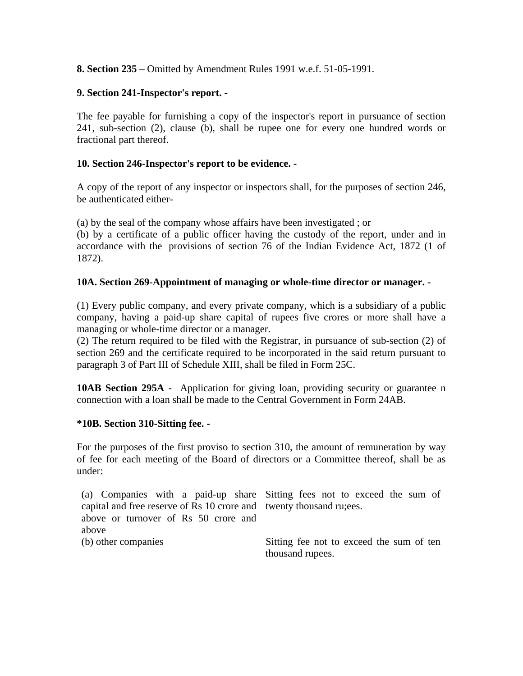**8. Section 235** – Omitted by Amendment Rules 1991 w.e.f. 51-05-1991.

# **9. Section 241-Inspector's report. -**

The fee payable for furnishing a copy of the inspector's report in pursuance of section 241, sub-section (2), clause (b), shall be rupee one for every one hundred words or fractional part thereof.

# **10. Section 246-Inspector's report to be evidence. -**

A copy of the report of any inspector or inspectors shall, for the purposes of section 246, be authenticated either-

(a) by the seal of the company whose affairs have been investigated ; or

(b) by a certificate of a public officer having the custody of the report, under and in accordance with the provisions of section 76 of the Indian Evidence Act, 1872 (1 of 1872).

#### **10A. Section 269-Appointment of managing or whole-time director or manager. -**

(1) Every public company, and every private company, which is a subsidiary of a public company, having a paid-up share capital of rupees five crores or more shall have a managing or whole-time director or a manager.

(2) The return required to be filed with the Registrar, in pursuance of sub-section (2) of section 269 and the certificate required to be incorporated in the said return pursuant to paragraph 3 of Part III of Schedule XIII, shall be filed in Form 25C.

**10AB Section 295A -** Application for giving loan, providing security or guarantee n connection with a loan shall be made to the Central Government in Form 24AB.

#### **\*10B. Section 310-Sitting fee. -**

For the purposes of the first proviso to section 310, the amount of remuneration by way of fee for each meeting of the Board of directors or a Committee thereof, shall be as under:

(a) Companies with a paid-up share Sitting fees not to exceed the sum of capital and free reserve of Rs 10 crore and twenty thousand ru;ees. above or turnover of Rs 50 crore and above (b) other companies Sitting fee not to exceed the sum of ten thousand rupees.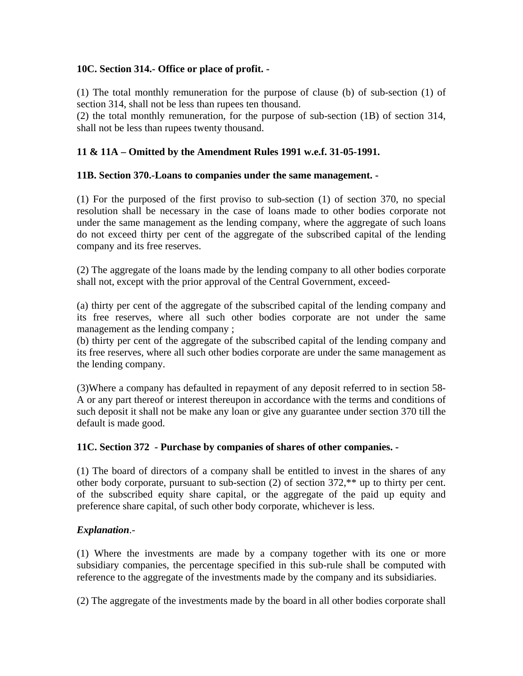# **10C. Section 314.- Office or place of profit. -**

(1) The total monthly remuneration for the purpose of clause (b) of sub-section (1) of section 314, shall not be less than rupees ten thousand.

(2) the total monthly remuneration, for the purpose of sub-section (1B) of section 314, shall not be less than rupees twenty thousand.

# **11 & 11A – Omitted by the Amendment Rules 1991 w.e.f. 31-05-1991.**

#### **11B. Section 370.-Loans to companies under the same management. -**

(1) For the purposed of the first proviso to sub-section (1) of section 370, no special resolution shall be necessary in the case of loans made to other bodies corporate not under the same management as the lending company, where the aggregate of such loans do not exceed thirty per cent of the aggregate of the subscribed capital of the lending company and its free reserves.

(2) The aggregate of the loans made by the lending company to all other bodies corporate shall not, except with the prior approval of the Central Government, exceed-

(a) thirty per cent of the aggregate of the subscribed capital of the lending company and its free reserves, where all such other bodies corporate are not under the same management as the lending company ;

(b) thirty per cent of the aggregate of the subscribed capital of the lending company and its free reserves, where all such other bodies corporate are under the same management as the lending company.

(3)Where a company has defaulted in repayment of any deposit referred to in section 58- A or any part thereof or interest thereupon in accordance with the terms and conditions of such deposit it shall not be make any loan or give any guarantee under section 370 till the default is made good.

#### **11C. Section 372 - Purchase by companies of shares of other companies. -**

(1) The board of directors of a company shall be entitled to invest in the shares of any other body corporate, pursuant to sub-section (2) of section 372,\*\* up to thirty per cent. of the subscribed equity share capital, or the aggregate of the paid up equity and preference share capital, of such other body corporate, whichever is less.

# *Explanation*.-

(1) Where the investments are made by a company together with its one or more subsidiary companies, the percentage specified in this sub-rule shall be computed with reference to the aggregate of the investments made by the company and its subsidiaries.

(2) The aggregate of the investments made by the board in all other bodies corporate shall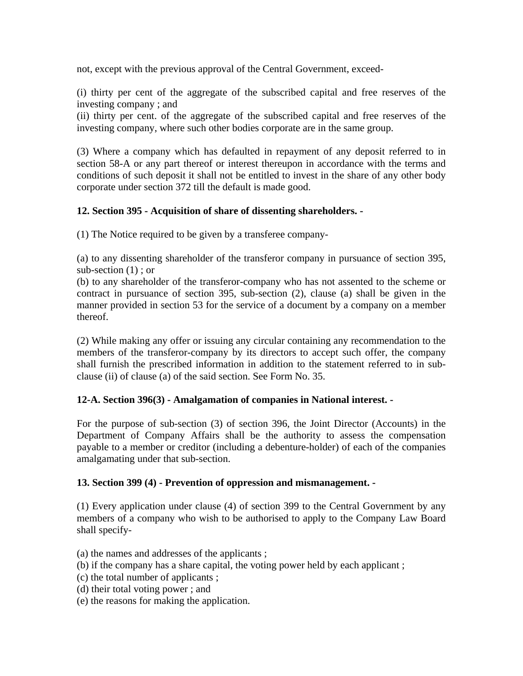not, except with the previous approval of the Central Government, exceed-

(i) thirty per cent of the aggregate of the subscribed capital and free reserves of the investing company ; and

(ii) thirty per cent. of the aggregate of the subscribed capital and free reserves of the investing company, where such other bodies corporate are in the same group.

(3) Where a company which has defaulted in repayment of any deposit referred to in section 58-A or any part thereof or interest thereupon in accordance with the terms and conditions of such deposit it shall not be entitled to invest in the share of any other body corporate under section 372 till the default is made good.

# **12. Section 395 - Acquisition of share of dissenting shareholders. -**

(1) The Notice required to be given by a transferee company-

(a) to any dissenting shareholder of the transferor company in pursuance of section 395, sub-section (1) ; or

(b) to any shareholder of the transferor-company who has not assented to the scheme or contract in pursuance of section 395, sub-section (2), clause (a) shall be given in the manner provided in section 53 for the service of a document by a company on a member thereof.

(2) While making any offer or issuing any circular containing any recommendation to the members of the transferor-company by its directors to accept such offer, the company shall furnish the prescribed information in addition to the statement referred to in subclause (ii) of clause (a) of the said section. See Form No. 35.

#### **12-A. Section 396(3) - Amalgamation of companies in National interest. -**

For the purpose of sub-section (3) of section 396, the Joint Director (Accounts) in the Department of Company Affairs shall be the authority to assess the compensation payable to a member or creditor (including a debenture-holder) of each of the companies amalgamating under that sub-section.

#### **13. Section 399 (4) - Prevention of oppression and mismanagement. -**

(1) Every application under clause (4) of section 399 to the Central Government by any members of a company who wish to be authorised to apply to the Company Law Board shall specify-

- (a) the names and addresses of the applicants ;
- (b) if the company has a share capital, the voting power held by each applicant ;
- (c) the total number of applicants ;
- (d) their total voting power ; and
- (e) the reasons for making the application.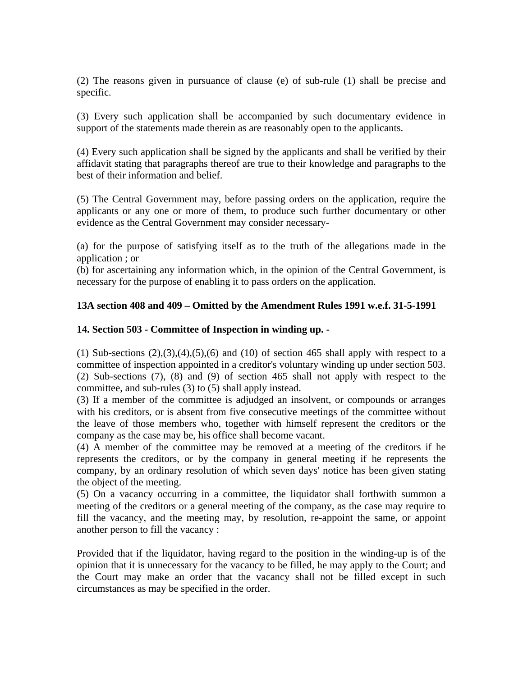(2) The reasons given in pursuance of clause (e) of sub-rule (1) shall be precise and specific.

(3) Every such application shall be accompanied by such documentary evidence in support of the statements made therein as are reasonably open to the applicants.

(4) Every such application shall be signed by the applicants and shall be verified by their affidavit stating that paragraphs thereof are true to their knowledge and paragraphs to the best of their information and belief.

(5) The Central Government may, before passing orders on the application, require the applicants or any one or more of them, to produce such further documentary or other evidence as the Central Government may consider necessary-

(a) for the purpose of satisfying itself as to the truth of the allegations made in the application ; or

(b) for ascertaining any information which, in the opinion of the Central Government, is necessary for the purpose of enabling it to pass orders on the application.

# **13A section 408 and 409 – Omitted by the Amendment Rules 1991 w.e.f. 31-5-1991**

# **14. Section 503 - Committee of Inspection in winding up. -**

 $(1)$  Sub-sections  $(2),(3),(4),(5),(6)$  and  $(10)$  of section 465 shall apply with respect to a committee of inspection appointed in a creditor's voluntary winding up under section 503. (2) Sub-sections (7), (8) and (9) of section 465 shall not apply with respect to the committee, and sub-rules (3) to (5) shall apply instead.

(3) If a member of the committee is adjudged an insolvent, or compounds or arranges with his creditors, or is absent from five consecutive meetings of the committee without the leave of those members who, together with himself represent the creditors or the company as the case may be, his office shall become vacant.

(4) A member of the committee may be removed at a meeting of the creditors if he represents the creditors, or by the company in general meeting if he represents the company, by an ordinary resolution of which seven days' notice has been given stating the object of the meeting.

(5) On a vacancy occurring in a committee, the liquidator shall forthwith summon a meeting of the creditors or a general meeting of the company, as the case may require to fill the vacancy, and the meeting may, by resolution, re-appoint the same, or appoint another person to fill the vacancy :

Provided that if the liquidator, having regard to the position in the winding-up is of the opinion that it is unnecessary for the vacancy to be filled, he may apply to the Court; and the Court may make an order that the vacancy shall not be filled except in such circumstances as may be specified in the order.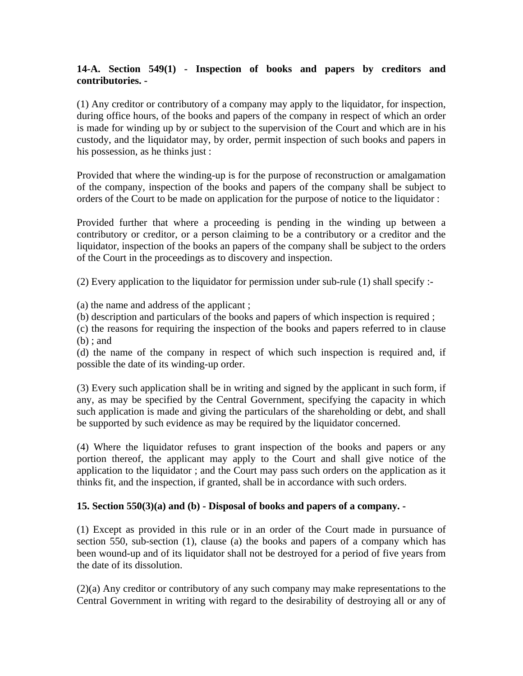# **14-A. Section 549(1) - Inspection of books and papers by creditors and contributories. -**

(1) Any creditor or contributory of a company may apply to the liquidator, for inspection, during office hours, of the books and papers of the company in respect of which an order is made for winding up by or subject to the supervision of the Court and which are in his custody, and the liquidator may, by order, permit inspection of such books and papers in his possession, as he thinks just :

Provided that where the winding-up is for the purpose of reconstruction or amalgamation of the company, inspection of the books and papers of the company shall be subject to orders of the Court to be made on application for the purpose of notice to the liquidator :

Provided further that where a proceeding is pending in the winding up between a contributory or creditor, or a person claiming to be a contributory or a creditor and the liquidator, inspection of the books an papers of the company shall be subject to the orders of the Court in the proceedings as to discovery and inspection.

(2) Every application to the liquidator for permission under sub-rule (1) shall specify :-

(a) the name and address of the applicant ;

(b) description and particulars of the books and papers of which inspection is required ;

(c) the reasons for requiring the inspection of the books and papers referred to in clause (b) ; and

(d) the name of the company in respect of which such inspection is required and, if possible the date of its winding-up order.

(3) Every such application shall be in writing and signed by the applicant in such form, if any, as may be specified by the Central Government, specifying the capacity in which such application is made and giving the particulars of the shareholding or debt, and shall be supported by such evidence as may be required by the liquidator concerned.

(4) Where the liquidator refuses to grant inspection of the books and papers or any portion thereof, the applicant may apply to the Court and shall give notice of the application to the liquidator ; and the Court may pass such orders on the application as it thinks fit, and the inspection, if granted, shall be in accordance with such orders.

# **15. Section 550(3)(a) and (b) - Disposal of books and papers of a company. -**

(1) Except as provided in this rule or in an order of the Court made in pursuance of section 550, sub-section (1), clause (a) the books and papers of a company which has been wound-up and of its liquidator shall not be destroyed for a period of five years from the date of its dissolution.

(2)(a) Any creditor or contributory of any such company may make representations to the Central Government in writing with regard to the desirability of destroying all or any of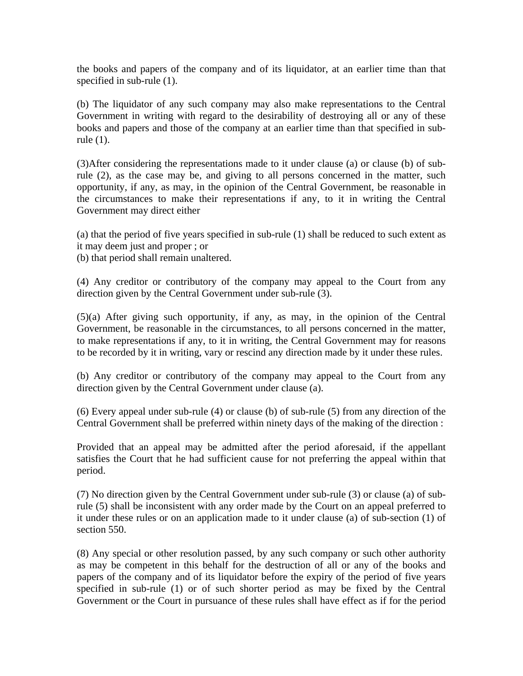the books and papers of the company and of its liquidator, at an earlier time than that specified in sub-rule  $(1)$ .

(b) The liquidator of any such company may also make representations to the Central Government in writing with regard to the desirability of destroying all or any of these books and papers and those of the company at an earlier time than that specified in subrule (1).

(3)After considering the representations made to it under clause (a) or clause (b) of subrule (2), as the case may be, and giving to all persons concerned in the matter, such opportunity, if any, as may, in the opinion of the Central Government, be reasonable in the circumstances to make their representations if any, to it in writing the Central Government may direct either

(a) that the period of five years specified in sub-rule (1) shall be reduced to such extent as it may deem just and proper ; or

(b) that period shall remain unaltered.

(4) Any creditor or contributory of the company may appeal to the Court from any direction given by the Central Government under sub-rule (3).

(5)(a) After giving such opportunity, if any, as may, in the opinion of the Central Government, be reasonable in the circumstances, to all persons concerned in the matter, to make representations if any, to it in writing, the Central Government may for reasons to be recorded by it in writing, vary or rescind any direction made by it under these rules.

(b) Any creditor or contributory of the company may appeal to the Court from any direction given by the Central Government under clause (a).

(6) Every appeal under sub-rule (4) or clause (b) of sub-rule (5) from any direction of the Central Government shall be preferred within ninety days of the making of the direction :

Provided that an appeal may be admitted after the period aforesaid, if the appellant satisfies the Court that he had sufficient cause for not preferring the appeal within that period.

(7) No direction given by the Central Government under sub-rule (3) or clause (a) of subrule (5) shall be inconsistent with any order made by the Court on an appeal preferred to it under these rules or on an application made to it under clause (a) of sub-section (1) of section 550.

(8) Any special or other resolution passed, by any such company or such other authority as may be competent in this behalf for the destruction of all or any of the books and papers of the company and of its liquidator before the expiry of the period of five years specified in sub-rule (1) or of such shorter period as may be fixed by the Central Government or the Court in pursuance of these rules shall have effect as if for the period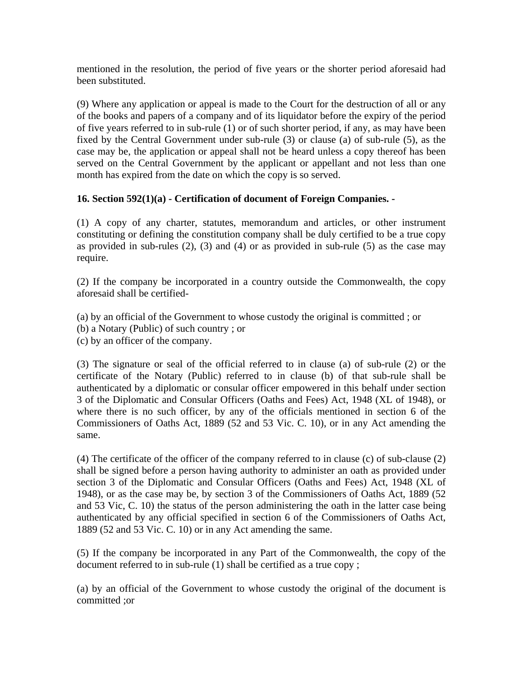mentioned in the resolution, the period of five years or the shorter period aforesaid had been substituted.

(9) Where any application or appeal is made to the Court for the destruction of all or any of the books and papers of a company and of its liquidator before the expiry of the period of five years referred to in sub-rule (1) or of such shorter period, if any, as may have been fixed by the Central Government under sub-rule (3) or clause (a) of sub-rule (5), as the case may be, the application or appeal shall not be heard unless a copy thereof has been served on the Central Government by the applicant or appellant and not less than one month has expired from the date on which the copy is so served.

# **16. Section 592(1)(a) - Certification of document of Foreign Companies. -**

(1) A copy of any charter, statutes, memorandum and articles, or other instrument constituting or defining the constitution company shall be duly certified to be a true copy as provided in sub-rules  $(2)$ ,  $(3)$  and  $(4)$  or as provided in sub-rule  $(5)$  as the case may require.

(2) If the company be incorporated in a country outside the Commonwealth, the copy aforesaid shall be certified-

(a) by an official of the Government to whose custody the original is committed ; or (b) a Notary (Public) of such country ; or (c) by an officer of the company.

(3) The signature or seal of the official referred to in clause (a) of sub-rule (2) or the certificate of the Notary (Public) referred to in clause (b) of that sub-rule shall be authenticated by a diplomatic or consular officer empowered in this behalf under section 3 of the Diplomatic and Consular Officers (Oaths and Fees) Act, 1948 (XL of 1948), or where there is no such officer, by any of the officials mentioned in section 6 of the Commissioners of Oaths Act, 1889 (52 and 53 Vic. C. 10), or in any Act amending the same.

(4) The certificate of the officer of the company referred to in clause (c) of sub-clause (2) shall be signed before a person having authority to administer an oath as provided under section 3 of the Diplomatic and Consular Officers (Oaths and Fees) Act, 1948 (XL of 1948), or as the case may be, by section 3 of the Commissioners of Oaths Act, 1889 (52 and 53 Vic, C. 10) the status of the person administering the oath in the latter case being authenticated by any official specified in section 6 of the Commissioners of Oaths Act, 1889 (52 and 53 Vic. C. 10) or in any Act amending the same.

(5) If the company be incorporated in any Part of the Commonwealth, the copy of the document referred to in sub-rule (1) shall be certified as a true copy ;

(a) by an official of the Government to whose custody the original of the document is committed ;or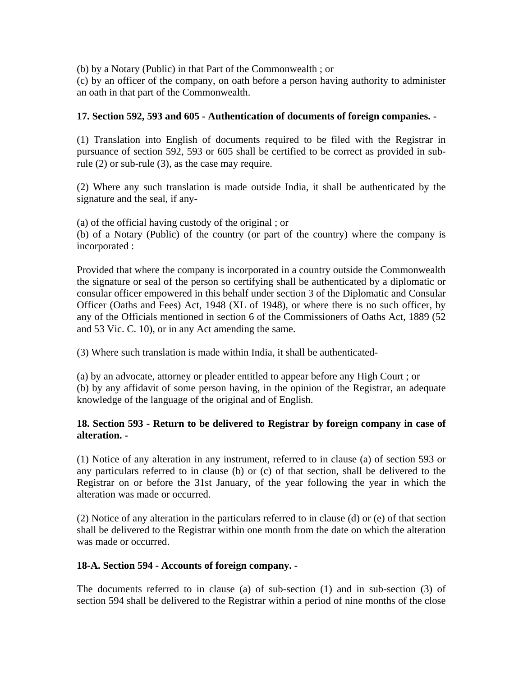(b) by a Notary (Public) in that Part of the Commonwealth ; or

(c) by an officer of the company, on oath before a person having authority to administer an oath in that part of the Commonwealth.

# **17. Section 592, 593 and 605 - Authentication of documents of foreign companies. -**

(1) Translation into English of documents required to be filed with the Registrar in pursuance of section 592, 593 or 605 shall be certified to be correct as provided in subrule (2) or sub-rule (3), as the case may require.

(2) Where any such translation is made outside India, it shall be authenticated by the signature and the seal, if any-

(a) of the official having custody of the original ; or (b) of a Notary (Public) of the country (or part of the country) where the company is incorporated :

Provided that where the company is incorporated in a country outside the Commonwealth the signature or seal of the person so certifying shall be authenticated by a diplomatic or consular officer empowered in this behalf under section 3 of the Diplomatic and Consular Officer (Oaths and Fees) Act, 1948 (XL of 1948), or where there is no such officer, by any of the Officials mentioned in section 6 of the Commissioners of Oaths Act, 1889 (52 and 53 Vic. C. 10), or in any Act amending the same.

(3) Where such translation is made within India, it shall be authenticated-

(a) by an advocate, attorney or pleader entitled to appear before any High Court ; or (b) by any affidavit of some person having, in the opinion of the Registrar, an adequate knowledge of the language of the original and of English.

# **18. Section 593 - Return to be delivered to Registrar by foreign company in case of alteration. -**

(1) Notice of any alteration in any instrument, referred to in clause (a) of section 593 or any particulars referred to in clause (b) or (c) of that section, shall be delivered to the Registrar on or before the 31st January, of the year following the year in which the alteration was made or occurred.

(2) Notice of any alteration in the particulars referred to in clause (d) or (e) of that section shall be delivered to the Registrar within one month from the date on which the alteration was made or occurred.

#### **18-A. Section 594 - Accounts of foreign company. -**

The documents referred to in clause (a) of sub-section (1) and in sub-section (3) of section 594 shall be delivered to the Registrar within a period of nine months of the close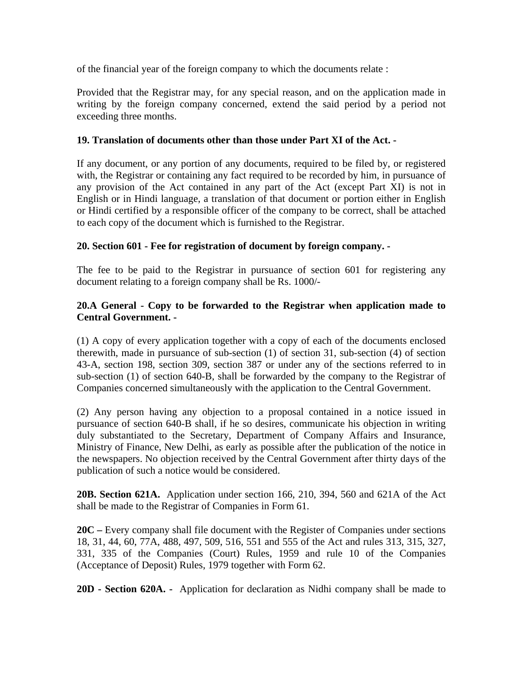of the financial year of the foreign company to which the documents relate :

Provided that the Registrar may, for any special reason, and on the application made in writing by the foreign company concerned, extend the said period by a period not exceeding three months.

### **19. Translation of documents other than those under Part XI of the Act. -**

If any document, or any portion of any documents, required to be filed by, or registered with, the Registrar or containing any fact required to be recorded by him, in pursuance of any provision of the Act contained in any part of the Act (except Part XI) is not in English or in Hindi language, a translation of that document or portion either in English or Hindi certified by a responsible officer of the company to be correct, shall be attached to each copy of the document which is furnished to the Registrar.

# **20. Section 601 - Fee for registration of document by foreign company. -**

The fee to be paid to the Registrar in pursuance of section 601 for registering any document relating to a foreign company shall be Rs. 1000/-

# **20.A General - Copy to be forwarded to the Registrar when application made to Central Government. -**

(1) A copy of every application together with a copy of each of the documents enclosed therewith, made in pursuance of sub-section (1) of section 31, sub-section (4) of section 43-A, section 198, section 309, section 387 or under any of the sections referred to in sub-section (1) of section 640-B, shall be forwarded by the company to the Registrar of Companies concerned simultaneously with the application to the Central Government.

(2) Any person having any objection to a proposal contained in a notice issued in pursuance of section 640-B shall, if he so desires, communicate his objection in writing duly substantiated to the Secretary, Department of Company Affairs and Insurance, Ministry of Finance, New Delhi, as early as possible after the publication of the notice in the newspapers. No objection received by the Central Government after thirty days of the publication of such a notice would be considered.

**20B. Section 621A.** Application under section 166, 210, 394, 560 and 621A of the Act shall be made to the Registrar of Companies in Form 61.

**20C –** Every company shall file document with the Register of Companies under sections 18, 31, 44, 60, 77A, 488, 497, 509, 516, 551 and 555 of the Act and rules 313, 315, 327, 331, 335 of the Companies (Court) Rules, 1959 and rule 10 of the Companies (Acceptance of Deposit) Rules, 1979 together with Form 62.

**20D - Section 620A. -** Application for declaration as Nidhi company shall be made to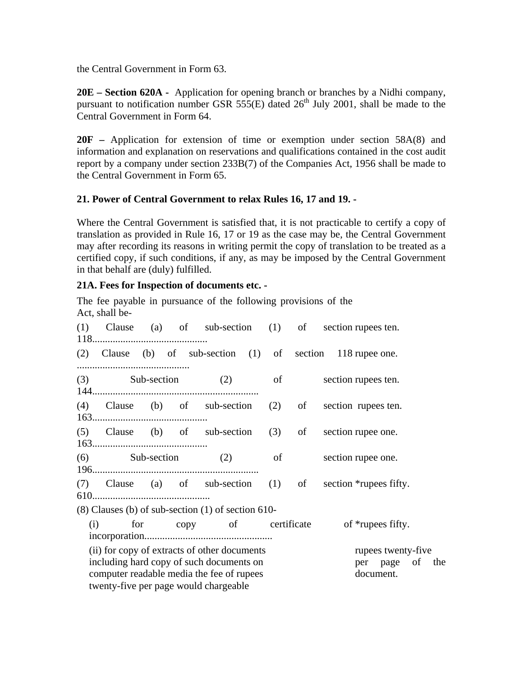the Central Government in Form 63.

**20E – Section 620A -** Application for opening branch or branches by a Nidhi company, pursuant to notification number GSR 555 $(E)$  dated 26<sup>th</sup> July 2001, shall be made to the Central Government in Form 64.

**20F –** Application for extension of time or exemption under section 58A(8) and information and explanation on reservations and qualifications contained in the cost audit report by a company under section 233B(7) of the Companies Act, 1956 shall be made to the Central Government in Form 65.

# **21. Power of Central Government to relax Rules 16, 17 and 19. -**

Where the Central Government is satisfied that, it is not practicable to certify a copy of translation as provided in Rule 16, 17 or 19 as the case may be, the Central Government may after recording its reasons in writing permit the copy of translation to be treated as a certified copy, if such conditions, if any, as may be imposed by the Central Government in that behalf are (duly) fulfilled.

# **21A. Fees for Inspection of documents etc. -**

The fee payable in pursuance of the following provisions of the Act, shall be-

|                                                                                                                                                                                                                                      |                                |  |  |                                                        |  |  |  | (1) Clause (a) of sub-section (1) of section rupees ten.    |
|--------------------------------------------------------------------------------------------------------------------------------------------------------------------------------------------------------------------------------------|--------------------------------|--|--|--------------------------------------------------------|--|--|--|-------------------------------------------------------------|
|                                                                                                                                                                                                                                      |                                |  |  |                                                        |  |  |  | (2) Clause (b) of sub-section (1) of section 118 rupee one. |
|                                                                                                                                                                                                                                      |                                |  |  |                                                        |  |  |  | (3) Sub-section (2) of section rupees ten.                  |
|                                                                                                                                                                                                                                      |                                |  |  |                                                        |  |  |  | (4) Clause (b) of sub-section (2) of section rupees ten.    |
|                                                                                                                                                                                                                                      |                                |  |  |                                                        |  |  |  | (5) Clause (b) of sub-section (3) of section rupee one.     |
|                                                                                                                                                                                                                                      |                                |  |  |                                                        |  |  |  | (6) Sub-section (2) of section rupee one.                   |
|                                                                                                                                                                                                                                      |                                |  |  |                                                        |  |  |  | (7) Clause (a) of sub-section (1) of section *rupees fifty. |
|                                                                                                                                                                                                                                      |                                |  |  | $(8)$ Clauses (b) of sub-section $(1)$ of section 610- |  |  |  |                                                             |
|                                                                                                                                                                                                                                      | for copy of certificate<br>(i) |  |  |                                                        |  |  |  | of *rupees fifty.                                           |
| (ii) for copy of extracts of other documents<br>rupees twenty-five<br>including hard copy of such documents on<br>per page of the<br>computer readable media the fee of rupees<br>document.<br>twenty-five per page would chargeable |                                |  |  |                                                        |  |  |  |                                                             |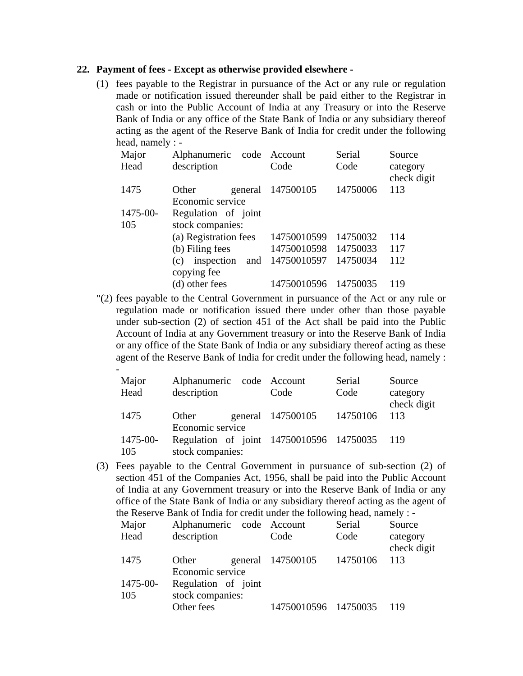#### **22. Payment of fees - Except as otherwise provided elsewhere -**

(1) fees payable to the Registrar in pursuance of the Act or any rule or regulation made or notification issued thereunder shall be paid either to the Registrar in cash or into the Public Account of India at any Treasury or into the Reserve Bank of India or any office of the State Bank of India or any subsidiary thereof acting as the agent of the Reserve Bank of India for credit under the following head, namely : -

| Major    | Alphanumeric code        | Account     | Serial   | Source                  |  |  |  |
|----------|--------------------------|-------------|----------|-------------------------|--|--|--|
| Head     | description              | Code        | Code     | category<br>check digit |  |  |  |
| 1475     | Other<br>general         | 147500105   | 14750006 | 113                     |  |  |  |
|          | Economic service         |             |          |                         |  |  |  |
| 1475-00- | Regulation of joint      |             |          |                         |  |  |  |
| 105      | stock companies:         |             |          |                         |  |  |  |
|          | (a) Registration fees    | 14750010599 | 14750032 | 114                     |  |  |  |
|          | (b) Filing fees          | 14750010598 | 14750033 | 117                     |  |  |  |
|          | inspection<br>and<br>(c) | 14750010597 | 14750034 | 112                     |  |  |  |
|          | copying fee              |             |          |                         |  |  |  |
|          | (d) other fees           | 14750010596 | 14750035 | 119                     |  |  |  |

"(2) fees payable to the Central Government in pursuance of the Act or any rule or regulation made or notification issued there under other than those payable under sub-section (2) of section 451 of the Act shall be paid into the Public Account of India at any Government treasury or into the Reserve Bank of India or any office of the State Bank of India or any subsidiary thereof acting as these agent of the Reserve Bank of India for credit under the following head, namely :

| Major<br>Head   | Alphanumeric code Account<br>description                                             | Code              | Serial<br>Code | Source<br>category<br>check digit |
|-----------------|--------------------------------------------------------------------------------------|-------------------|----------------|-----------------------------------|
| 1475            | Other                                                                                | general 147500105 | 14750106       | 113                               |
| 1475-00-<br>105 | Economic service<br>Regulation of joint 14750010596 14750035 119<br>stock companies: |                   |                |                                   |

(3) Fees payable to the Central Government in pursuance of sub-section (2) of section 451 of the Companies Act, 1956, shall be paid into the Public Account of India at any Government treasury or into the Reserve Bank of India or any office of the State Bank of India or any subsidiary thereof acting as the agent of the Reserve Bank of India for credit under the following head, namely : -

| Major           | Alphanumeric code Account               |                      | Serial   | Source                  |
|-----------------|-----------------------------------------|----------------------|----------|-------------------------|
| Head            | description                             | Code                 | Code     | category<br>check digit |
| 1475            | Other<br>Economic service               | general 147500105    | 14750106 | 113                     |
| 1475-00-<br>105 | Regulation of joint<br>stock companies: |                      |          |                         |
|                 | Other fees                              | 14750010596 14750035 |          | 119                     |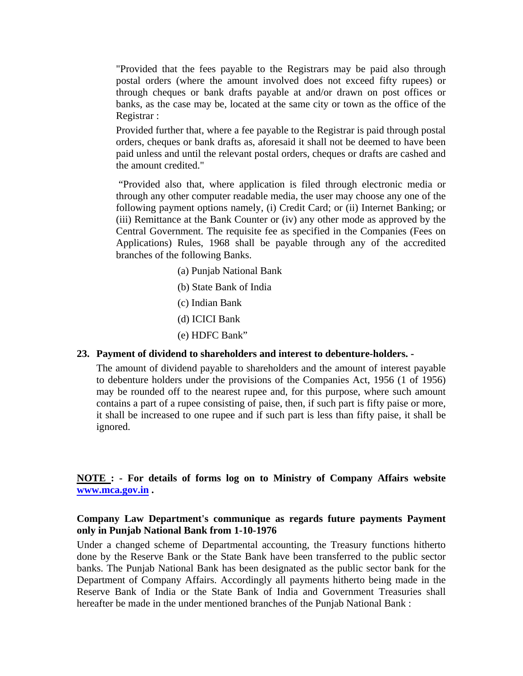"Provided that the fees payable to the Registrars may be paid also through postal orders (where the amount involved does not exceed fifty rupees) or through cheques or bank drafts payable at and/or drawn on post offices or banks, as the case may be, located at the same city or town as the office of the Registrar :

Provided further that, where a fee payable to the Registrar is paid through postal orders, cheques or bank drafts as, aforesaid it shall not be deemed to have been paid unless and until the relevant postal orders, cheques or drafts are cashed and the amount credited."

 "Provided also that, where application is filed through electronic media or through any other computer readable media, the user may choose any one of the following payment options namely, (i) Credit Card; or (ii) Internet Banking; or (iii) Remittance at the Bank Counter or (iv) any other mode as approved by the Central Government. The requisite fee as specified in the Companies (Fees on Applications) Rules, 1968 shall be payable through any of the accredited branches of the following Banks.

- (a) Punjab National Bank
- (b) State Bank of India
- (c) Indian Bank
- (d) ICICI Bank
- (e) HDFC Bank"

#### **23. Payment of dividend to shareholders and interest to debenture-holders. -**

The amount of dividend payable to shareholders and the amount of interest payable to debenture holders under the provisions of the Companies Act, 1956 (1 of 1956) may be rounded off to the nearest rupee and, for this purpose, where such amount contains a part of a rupee consisting of paise, then, if such part is fifty paise or more, it shall be increased to one rupee and if such part is less than fifty paise, it shall be ignored.

### **NOTE : - For details of forms log on to Ministry of Company Affairs website [www.mca.gov.in](http://www.mca.gov.in/) .**

#### **Company Law Department's communique as regards future payments Payment only in Punjab National Bank from 1-10-1976**

Under a changed scheme of Departmental accounting, the Treasury functions hitherto done by the Reserve Bank or the State Bank have been transferred to the public sector banks. The Punjab National Bank has been designated as the public sector bank for the Department of Company Affairs. Accordingly all payments hitherto being made in the Reserve Bank of India or the State Bank of India and Government Treasuries shall hereafter be made in the under mentioned branches of the Punjab National Bank :